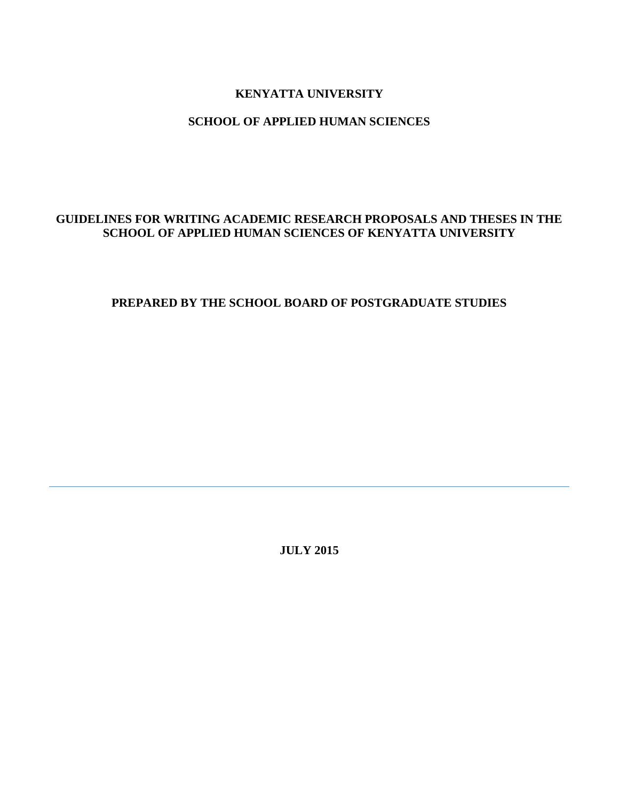## **KENYATTA UNIVERSITY**

### **SCHOOL OF APPLIED HUMAN SCIENCES**

## **GUIDELINES FOR WRITING ACADEMIC RESEARCH PROPOSALS AND THESES IN THE SCHOOL OF APPLIED HUMAN SCIENCES OF KENYATTA UNIVERSITY**

## **PREPARED BY THE SCHOOL BOARD OF POSTGRADUATE STUDIES**

**JULY 2015**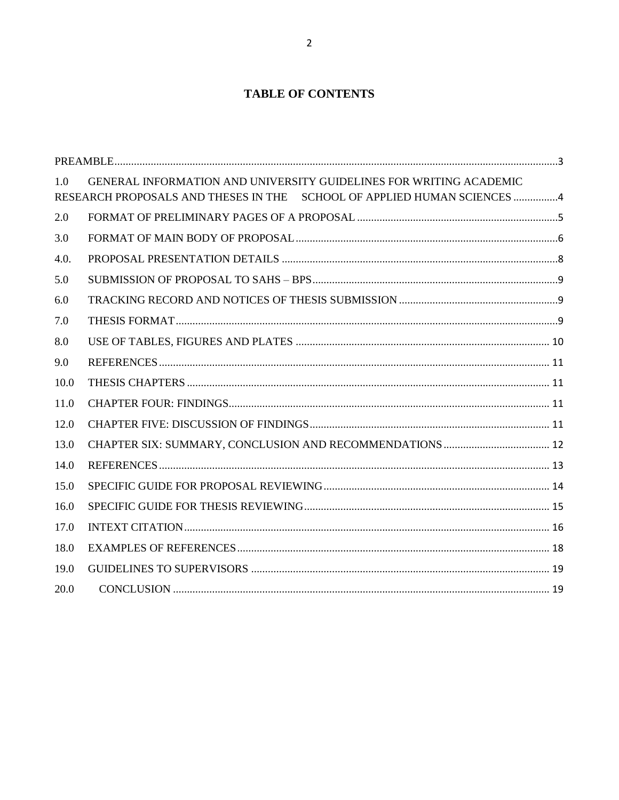# **TABLE OF CONTENTS**

| 1.0  | GENERAL INFORMATION AND UNIVERSITY GUIDELINES FOR WRITING ACADEMIC<br>RESEARCH PROPOSALS AND THESES IN THE SCHOOL OF APPLIED HUMAN SCIENCES 4 |  |
|------|-----------------------------------------------------------------------------------------------------------------------------------------------|--|
| 2.0  |                                                                                                                                               |  |
| 3.0  |                                                                                                                                               |  |
| 4.0. |                                                                                                                                               |  |
| 5.0  |                                                                                                                                               |  |
| 6.0  |                                                                                                                                               |  |
| 7.0  |                                                                                                                                               |  |
| 8.0  |                                                                                                                                               |  |
| 9.0  |                                                                                                                                               |  |
| 10.0 |                                                                                                                                               |  |
| 11.0 |                                                                                                                                               |  |
| 12.0 |                                                                                                                                               |  |
| 13.0 |                                                                                                                                               |  |
| 14.0 |                                                                                                                                               |  |
| 15.0 |                                                                                                                                               |  |
| 16.0 |                                                                                                                                               |  |
| 17.0 |                                                                                                                                               |  |
| 18.0 |                                                                                                                                               |  |
| 19.0 |                                                                                                                                               |  |
| 20.0 |                                                                                                                                               |  |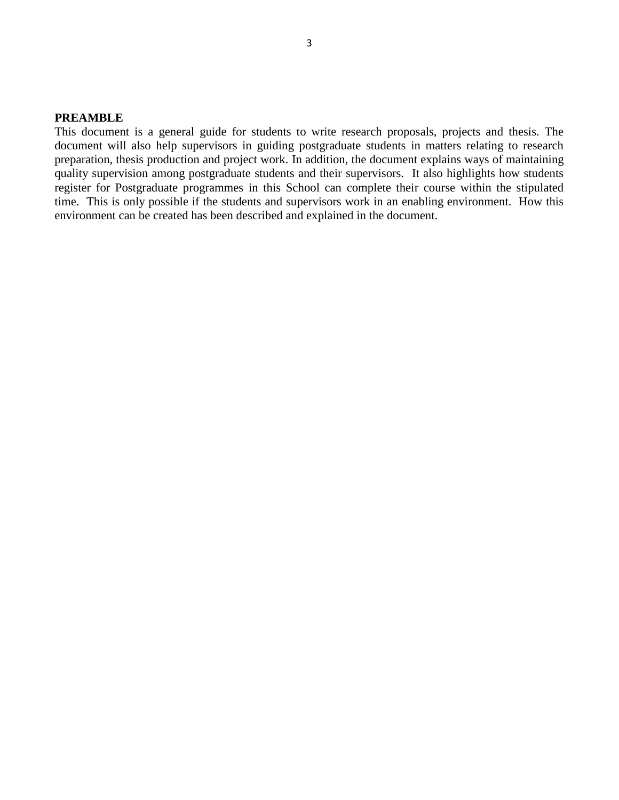#### <span id="page-2-0"></span>**PREAMBLE**

This document is a general guide for students to write research proposals, projects and thesis. The document will also help supervisors in guiding postgraduate students in matters relating to research preparation, thesis production and project work. In addition, the document explains ways of maintaining quality supervision among postgraduate students and their supervisors. It also highlights how students register for Postgraduate programmes in this School can complete their course within the stipulated time. This is only possible if the students and supervisors work in an enabling environment. How this environment can be created has been described and explained in the document.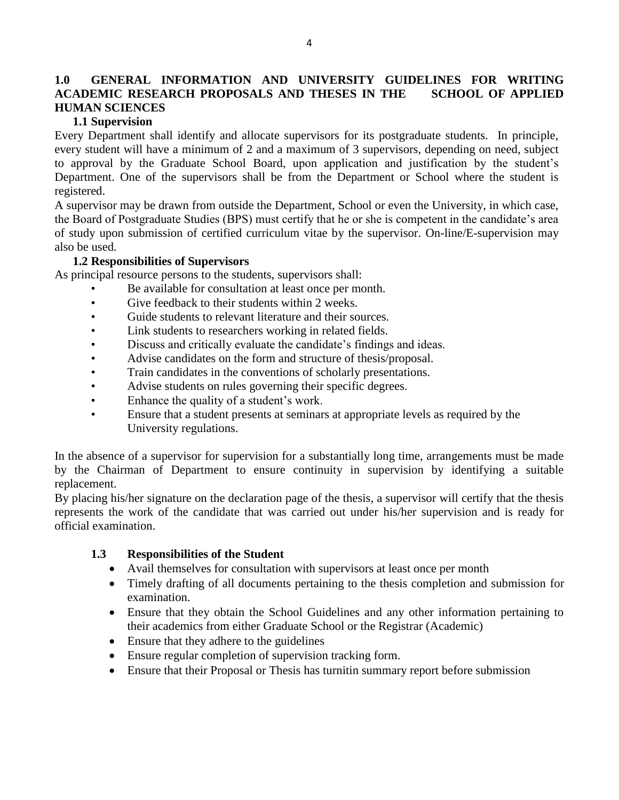## <span id="page-3-0"></span>**1.0 GENERAL INFORMATION AND UNIVERSITY GUIDELINES FOR WRITING ACADEMIC RESEARCH PROPOSALS AND THESES IN THE SCHOOL OF APPLIED HUMAN SCIENCES**

### **1.1 Supervision**

Every Department shall identify and allocate supervisors for its postgraduate students. In principle, every student will have a minimum of 2 and a maximum of 3 supervisors, depending on need, subject to approval by the Graduate School Board, upon application and justification by the student's Department. One of the supervisors shall be from the Department or School where the student is registered.

A supervisor may be drawn from outside the Department, School or even the University, in which case, the Board of Postgraduate Studies (BPS) must certify that he or she is competent in the candidate's area of study upon submission of certified curriculum vitae by the supervisor. On-line/E-supervision may also be used.

#### **1.2 Responsibilities of Supervisors**

As principal resource persons to the students, supervisors shall:

- Be available for consultation at least once per month.
- Give feedback to their students within 2 weeks.
- Guide students to relevant literature and their sources.
- Link students to researchers working in related fields.
- Discuss and critically evaluate the candidate's findings and ideas.
- Advise candidates on the form and structure of thesis/proposal.
- Train candidates in the conventions of scholarly presentations.
- Advise students on rules governing their specific degrees.
- Enhance the quality of a student's work.
- Ensure that a student presents at seminars at appropriate levels as required by the University regulations.

In the absence of a supervisor for supervision for a substantially long time, arrangements must be made by the Chairman of Department to ensure continuity in supervision by identifying a suitable replacement.

By placing his/her signature on the declaration page of the thesis, a supervisor will certify that the thesis represents the work of the candidate that was carried out under his/her supervision and is ready for official examination.

#### **1.3 Responsibilities of the Student**

- Avail themselves for consultation with supervisors at least once per month
- Timely drafting of all documents pertaining to the thesis completion and submission for examination.
- Ensure that they obtain the School Guidelines and any other information pertaining to their academics from either Graduate School or the Registrar (Academic)
- Ensure that they adhere to the guidelines
- Ensure regular completion of supervision tracking form.
- Ensure that their Proposal or Thesis has turnitin summary report before submission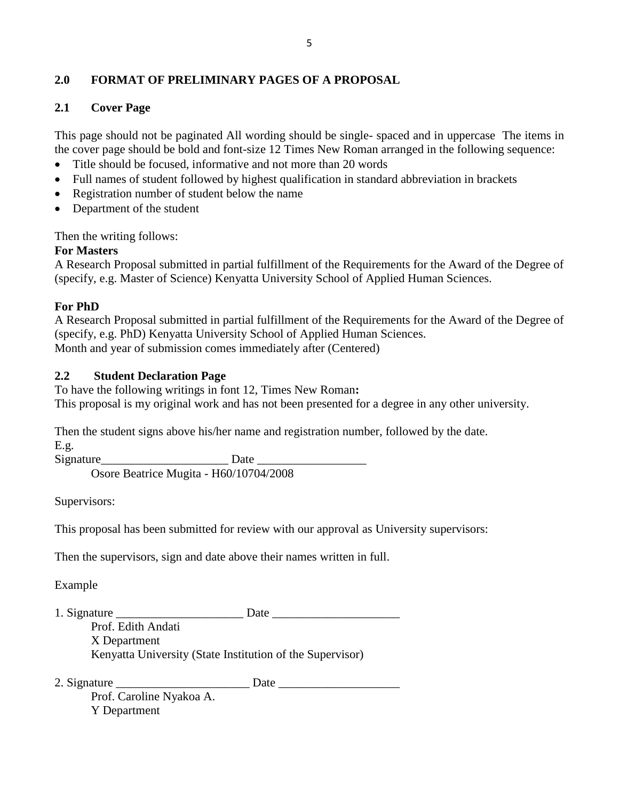# <span id="page-4-0"></span>**2.0 FORMAT OF PRELIMINARY PAGES OF A PROPOSAL**

## **2.1 Cover Page**

This page should not be paginated All wording should be single- spaced and in uppercase The items in the cover page should be bold and font-size 12 Times New Roman arranged in the following sequence:

- Title should be focused, informative and not more than 20 words
- Full names of student followed by highest qualification in standard abbreviation in brackets
- Registration number of student below the name
- Department of the student

Then the writing follows:

### **For Masters**

A Research Proposal submitted in partial fulfillment of the Requirements for the Award of the Degree of (specify, e.g. Master of Science) Kenyatta University School of Applied Human Sciences.

### **For PhD**

A Research Proposal submitted in partial fulfillment of the Requirements for the Award of the Degree of (specify, e.g. PhD) Kenyatta University School of Applied Human Sciences. Month and year of submission comes immediately after (Centered)

### **2.2 Student Declaration Page**

To have the following writings in font 12, Times New Roman**:**  This proposal is my original work and has not been presented for a degree in any other university.

Then the student signs above his/her name and registration number, followed by the date. E.g.

Signature Date Osore Beatrice Mugita - H60/10704/2008

Supervisors:

This proposal has been submitted for review with our approval as University supervisors:

Then the supervisors, sign and date above their names written in full.

Example

- 1. Signature Date Prof. Edith Andati X Department Kenyatta University (State Institution of the Supervisor)
- 2. Signature \_\_\_\_\_\_\_\_\_\_\_\_\_\_\_\_\_\_\_\_\_\_ Date \_\_\_\_\_\_\_\_\_\_\_\_\_\_\_\_\_\_\_\_ Prof. Caroline Nyakoa A. Y Department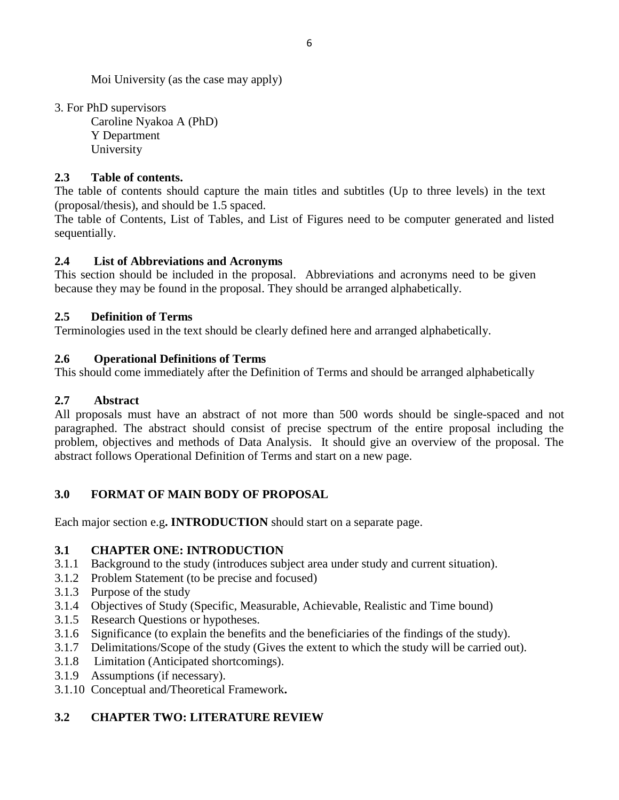Moi University (as the case may apply)

3. For PhD supervisors

Caroline Nyakoa A (PhD) Y Department University

# **2.3 Table of contents.**

The table of contents should capture the main titles and subtitles (Up to three levels) in the text (proposal/thesis), and should be 1.5 spaced.

The table of Contents, List of Tables, and List of Figures need to be computer generated and listed sequentially.

## **2.4 List of Abbreviations and Acronyms**

This section should be included in the proposal. Abbreviations and acronyms need to be given because they may be found in the proposal. They should be arranged alphabetically.

## **2.5 Definition of Terms**

Terminologies used in the text should be clearly defined here and arranged alphabetically.

## **2.6 Operational Definitions of Terms**

This should come immediately after the Definition of Terms and should be arranged alphabetically

# **2.7 Abstract**

All proposals must have an abstract of not more than 500 words should be single-spaced and not paragraphed. The abstract should consist of precise spectrum of the entire proposal including the problem, objectives and methods of Data Analysis. It should give an overview of the proposal. The abstract follows Operational Definition of Terms and start on a new page.

# <span id="page-5-0"></span>**3.0 FORMAT OF MAIN BODY OF PROPOSAL**

Each major section e.g**. INTRODUCTION** should start on a separate page.

## **3.1 CHAPTER ONE: INTRODUCTION**

- 3.1.1 Background to the study (introduces subject area under study and current situation).
- 3.1.2 Problem Statement (to be precise and focused)
- 3.1.3 Purpose of the study
- 3.1.4 Objectives of Study (Specific, Measurable, Achievable, Realistic and Time bound)
- 3.1.5 Research Questions or hypotheses.
- 3.1.6 Significance (to explain the benefits and the beneficiaries of the findings of the study).
- 3.1.7 Delimitations/Scope of the study (Gives the extent to which the study will be carried out).
- 3.1.8 Limitation (Anticipated shortcomings).
- 3.1.9 Assumptions (if necessary).
- 3.1.10 Conceptual and/Theoretical Framework**.**

# **3.2 CHAPTER TWO: LITERATURE REVIEW**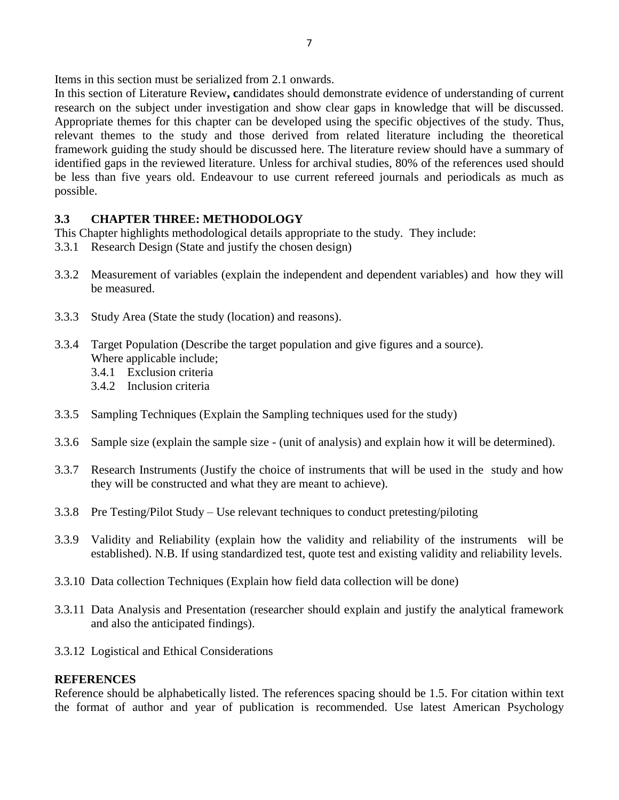Items in this section must be serialized from 2.1 onwards.

In this section of Literature Review**, c**andidates should demonstrate evidence of understanding of current research on the subject under investigation and show clear gaps in knowledge that will be discussed. Appropriate themes for this chapter can be developed using the specific objectives of the study. Thus, relevant themes to the study and those derived from related literature including the theoretical framework guiding the study should be discussed here. The literature review should have a summary of identified gaps in the reviewed literature. Unless for archival studies, 80% of the references used should be less than five years old. Endeavour to use current refereed journals and periodicals as much as possible.

## **3.3 CHAPTER THREE: METHODOLOGY**

This Chapter highlights methodological details appropriate to the study. They include:

- 3.3.1 Research Design (State and justify the chosen design)
- 3.3.2 Measurement of variables (explain the independent and dependent variables) and how they will be measured.
- 3.3.3 Study Area (State the study (location) and reasons).
- 3.3.4 Target Population (Describe the target population and give figures and a source). Where applicable include;
	- 3.4.1 Exclusion criteria
	- 3.4.2 Inclusion criteria
- 3.3.5 Sampling Techniques (Explain the Sampling techniques used for the study)
- 3.3.6 Sample size (explain the sample size (unit of analysis) and explain how it will be determined).
- 3.3.7 Research Instruments (Justify the choice of instruments that will be used in the study and how they will be constructed and what they are meant to achieve).
- 3.3.8 Pre Testing/Pilot Study Use relevant techniques to conduct pretesting/piloting
- 3.3.9 Validity and Reliability (explain how the validity and reliability of the instruments will be established). N.B. If using standardized test, quote test and existing validity and reliability levels.
- 3.3.10 Data collection Techniques (Explain how field data collection will be done)
- 3.3.11 Data Analysis and Presentation (researcher should explain and justify the analytical framework and also the anticipated findings).
- 3.3.12 Logistical and Ethical Considerations

## **REFERENCES**

Reference should be alphabetically listed. The references spacing should be 1.5. For citation within text the format of author and year of publication is recommended. Use latest American Psychology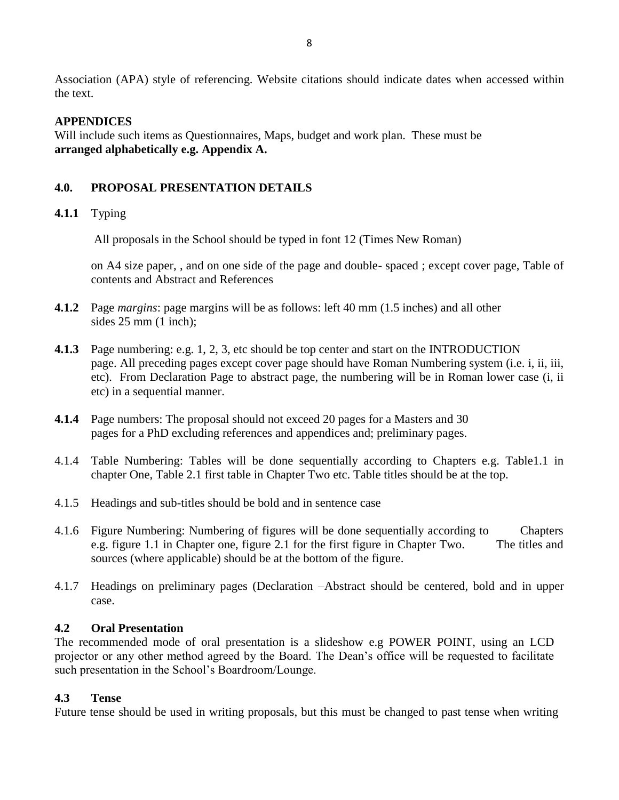Association (APA) style of referencing. Website citations should indicate dates when accessed within the text.

#### **APPENDICES**

Will include such items as Questionnaires, Maps, budget and work plan. These must be **arranged alphabetically e.g. Appendix A.** 

### <span id="page-7-0"></span>**4.0. PROPOSAL PRESENTATION DETAILS**

### **4.1.1** Typing

All proposals in the School should be typed in font 12 (Times New Roman)

on A4 size paper, , and on one side of the page and double- spaced ; except cover page, Table of contents and Abstract and References

- **4.1.2** Page *margins*: page margins will be as follows: left 40 mm (1.5 inches) and all other sides  $25 \text{ mm}$  (1 inch);
- **4.1.3** Page numbering: e.g. 1, 2, 3, etc should be top center and start on the INTRODUCTION page. All preceding pages except cover page should have Roman Numbering system (i.e. i, ii, iii, etc). From Declaration Page to abstract page, the numbering will be in Roman lower case (i, ii etc) in a sequential manner.
- **4.1.4** Page numbers: The proposal should not exceed 20 pages for a Masters and 30 pages for a PhD excluding references and appendices and; preliminary pages.
- 4.1.4 Table Numbering: Tables will be done sequentially according to Chapters e.g. Table1.1 in chapter One, Table 2.1 first table in Chapter Two etc. Table titles should be at the top.
- 4.1.5 Headings and sub-titles should be bold and in sentence case
- 4.1.6 Figure Numbering: Numbering of figures will be done sequentially according to Chapters e.g. figure 1.1 in Chapter one, figure 2.1 for the first figure in Chapter Two. The titles and sources (where applicable) should be at the bottom of the figure.
- 4.1.7 Headings on preliminary pages (Declaration –Abstract should be centered, bold and in upper case.

#### **4.2 Oral Presentation**

The recommended mode of oral presentation is a slideshow e.g POWER POINT, using an LCD projector or any other method agreed by the Board. The Dean's office will be requested to facilitate such presentation in the School's Boardroom/Lounge.

#### **4.3 Tense**

Future tense should be used in writing proposals, but this must be changed to past tense when writing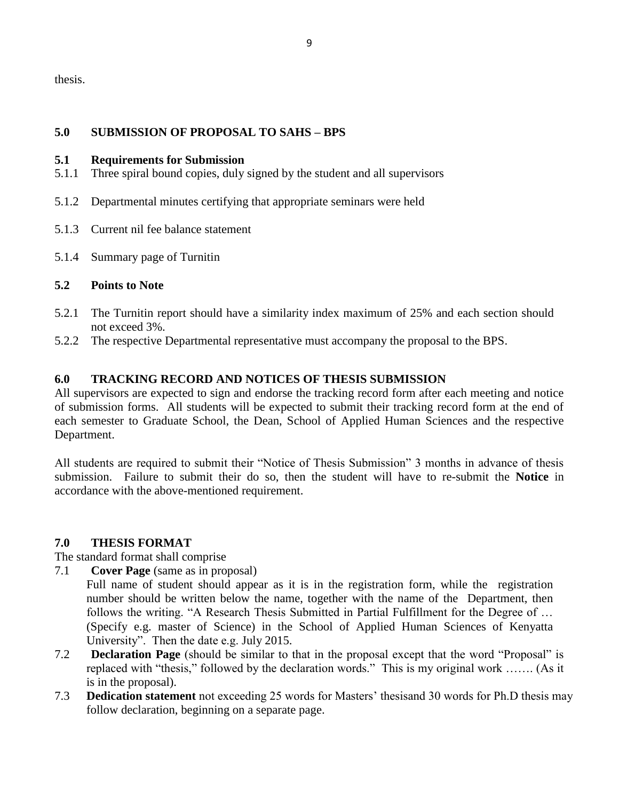thesis.

### <span id="page-8-0"></span>**5.0 SUBMISSION OF PROPOSAL TO SAHS – BPS**

#### **5.1 Requirements for Submission**

- 5.1.1 Three spiral bound copies, duly signed by the student and all supervisors
- 5.1.2 Departmental minutes certifying that appropriate seminars were held
- 5.1.3 Current nil fee balance statement
- 5.1.4 Summary page of Turnitin

## **5.2 Points to Note**

- 5.2.1 The Turnitin report should have a similarity index maximum of 25% and each section should not exceed 3%.
- <span id="page-8-1"></span>5.2.2 The respective Departmental representative must accompany the proposal to the BPS.

### **6.0 TRACKING RECORD AND NOTICES OF THESIS SUBMISSION**

All supervisors are expected to sign and endorse the tracking record form after each meeting and notice of submission forms. All students will be expected to submit their tracking record form at the end of each semester to Graduate School, the Dean, School of Applied Human Sciences and the respective Department.

All students are required to submit their "Notice of Thesis Submission" 3 months in advance of thesis submission. Failure to submit their do so, then the student will have to re-submit the **Notice** in accordance with the above-mentioned requirement.

#### <span id="page-8-2"></span>**7.0 THESIS FORMAT**

The standard format shall comprise

- 7.1 **Cover Page** (same as in proposal)
	- Full name of student should appear as it is in the registration form, while the registration number should be written below the name, together with the name of the Department, then follows the writing. "A Research Thesis Submitted in Partial Fulfillment for the Degree of … (Specify e.g. master of Science) in the School of Applied Human Sciences of Kenyatta University". Then the date e.g. July 2015.
- 7.2 **Declaration Page** (should be similar to that in the proposal except that the word "Proposal" is replaced with "thesis," followed by the declaration words." This is my original work ……. (As it is in the proposal).
- 7.3 **Dedication statement** not exceeding 25 words for Masters' thesisand 30 words for Ph.D thesis may follow declaration, beginning on a separate page.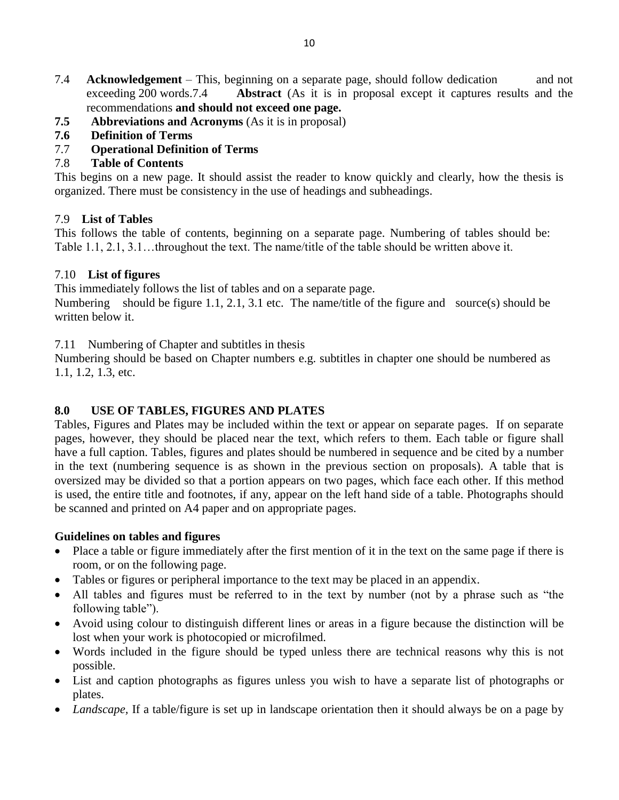- 7.4 **Acknowledgement** This, beginning on a separate page, should follow dedication and not exceeding 200 words.7.4 **Abstract** (As it is in proposal except it captures results and the recommendations **and should not exceed one page.**
- **7.5 Abbreviations and Acronyms** (As it is in proposal)
- **7.6 Definition of Terms**
- 7.7 **Operational Definition of Terms**

# 7.8 **Table of Contents**

This begins on a new page. It should assist the reader to know quickly and clearly, how the thesis is organized. There must be consistency in the use of headings and subheadings.

## 7.9 **List of Tables**

This follows the table of contents, beginning on a separate page. Numbering of tables should be: Table 1.1, 2.1, 3.1…throughout the text. The name/title of the table should be written above it.

## 7.10 **List of figures**

This immediately follows the list of tables and on a separate page.

Numbering should be figure 1.1, 2.1, 3.1 etc. The name/title of the figure and source(s) should be written below it.

7.11 Numbering of Chapter and subtitles in thesis

Numbering should be based on Chapter numbers e.g. subtitles in chapter one should be numbered as 1.1, 1.2, 1.3, etc.

# <span id="page-9-0"></span>**8.0 USE OF TABLES, FIGURES AND PLATES**

Tables, Figures and Plates may be included within the text or appear on separate pages. If on separate pages, however, they should be placed near the text, which refers to them. Each table or figure shall have a full caption. Tables, figures and plates should be numbered in sequence and be cited by a number in the text (numbering sequence is as shown in the previous section on proposals). A table that is oversized may be divided so that a portion appears on two pages, which face each other. If this method is used, the entire title and footnotes, if any, appear on the left hand side of a table. Photographs should be scanned and printed on A4 paper and on appropriate pages.

# **Guidelines on tables and figures**

- Place a table or figure immediately after the first mention of it in the text on the same page if there is room, or on the following page.
- Tables or figures or peripheral importance to the text may be placed in an appendix.
- All tables and figures must be referred to in the text by number (not by a phrase such as "the following table").
- Avoid using colour to distinguish different lines or areas in a figure because the distinction will be lost when your work is photocopied or microfilmed.
- Words included in the figure should be typed unless there are technical reasons why this is not possible.
- List and caption photographs as figures unless you wish to have a separate list of photographs or plates.
- *Landscape,* If a table/figure is set up in landscape orientation then it should always be on a page by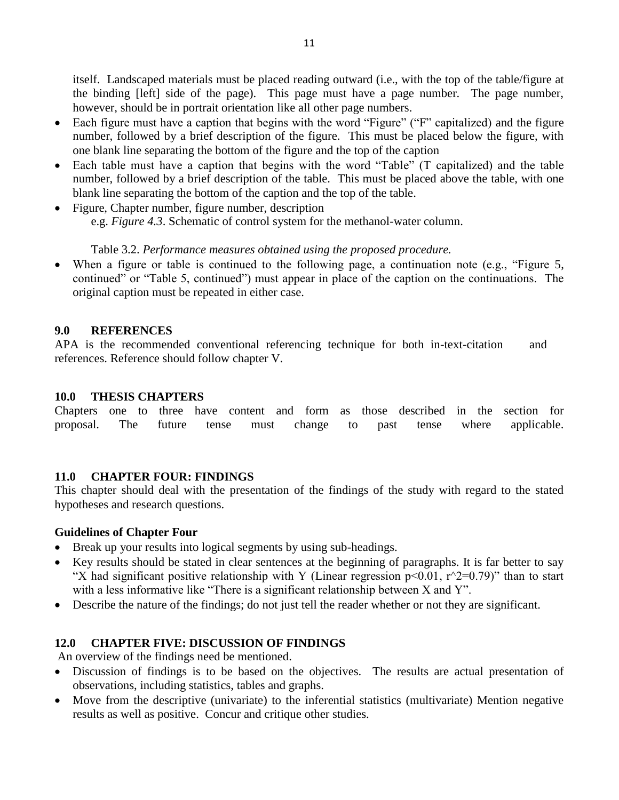itself. Landscaped materials must be placed reading outward (i.e., with the top of the table/figure at the binding [left] side of the page). This page must have a page number. The page number, however, should be in portrait orientation like all other page numbers.

- Each figure must have a caption that begins with the word "Figure" ("F" capitalized) and the figure number, followed by a brief description of the figure. This must be placed below the figure, with one blank line separating the bottom of the figure and the top of the caption
- Each table must have a caption that begins with the word "Table" (T capitalized) and the table number, followed by a brief description of the table. This must be placed above the table, with one blank line separating the bottom of the caption and the top of the table.
- Figure, Chapter number, figure number, description e.g. *Figure 4.3*. Schematic of control system for the methanol-water column.

## Table 3.2. *Performance measures obtained using the proposed procedure.*

When a figure or table is continued to the following page, a continuation note (e.g., "Figure 5, continued" or "Table 5, continued") must appear in place of the caption on the continuations. The original caption must be repeated in either case.

### <span id="page-10-0"></span>**9.0 REFERENCES**

APA is the recommended conventional referencing technique for both in-text-citation and references. Reference should follow chapter V.

#### <span id="page-10-1"></span>**10.0 THESIS CHAPTERS**

Chapters one to three have content and form as those described in the section for proposal. The future tense must change to past tense where applicable.

#### <span id="page-10-2"></span>**11.0 CHAPTER FOUR: FINDINGS**

This chapter should deal with the presentation of the findings of the study with regard to the stated hypotheses and research questions.

#### **Guidelines of Chapter Four**

- Break up your results into logical segments by using sub-headings.
- Key results should be stated in clear sentences at the beginning of paragraphs. It is far better to say "X had significant positive relationship with Y (Linear regression  $p<0.01$ ,  $r<sup>2</sup>=0.79$ )" than to start with a less informative like "There is a significant relationship between X and Y".
- <span id="page-10-3"></span>Describe the nature of the findings; do not just tell the reader whether or not they are significant.

## **12.0 CHAPTER FIVE: DISCUSSION OF FINDINGS**

An overview of the findings need be mentioned.

- Discussion of findings is to be based on the objectives. The results are actual presentation of observations, including statistics, tables and graphs.
- Move from the descriptive (univariate) to the inferential statistics (multivariate) Mention negative results as well as positive. Concur and critique other studies.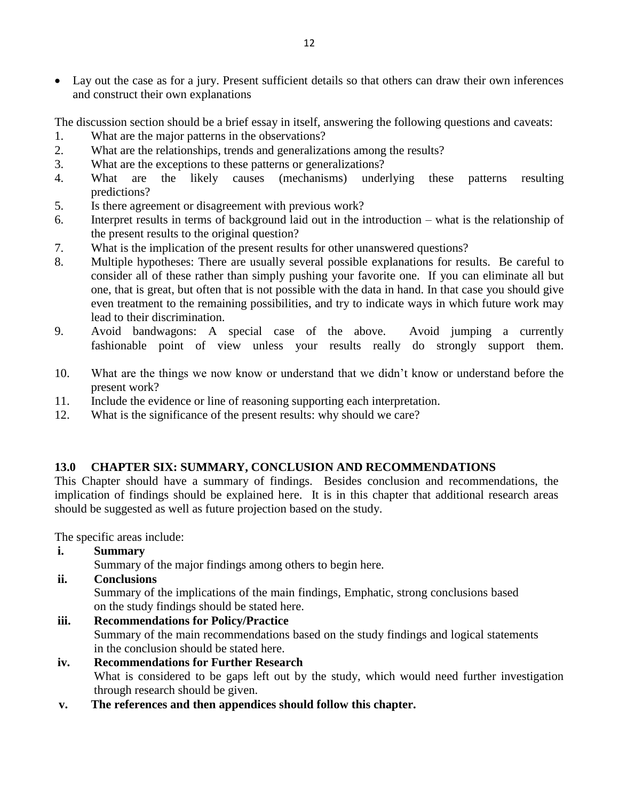Lay out the case as for a jury. Present sufficient details so that others can draw their own inferences and construct their own explanations

The discussion section should be a brief essay in itself, answering the following questions and caveats:

- 1. What are the major patterns in the observations?
- 2. What are the relationships, trends and generalizations among the results?
- 3. What are the exceptions to these patterns or generalizations?
- 4. What are the likely causes (mechanisms) underlying these patterns resulting predictions?
- 5. Is there agreement or disagreement with previous work?
- 6. Interpret results in terms of background laid out in the introduction what is the relationship of the present results to the original question?
- 7. What is the implication of the present results for other unanswered questions?
- 8. Multiple hypotheses: There are usually several possible explanations for results. Be careful to consider all of these rather than simply pushing your favorite one. If you can eliminate all but one, that is great, but often that is not possible with the data in hand. In that case you should give even treatment to the remaining possibilities, and try to indicate ways in which future work may lead to their discrimination.
- 9. Avoid bandwagons: A special case of the above. Avoid jumping a currently fashionable point of view unless your results really do strongly support them.
- 10. What are the things we now know or understand that we didn't know or understand before the present work?
- 11. Include the evidence or line of reasoning supporting each interpretation.
- 12. What is the significance of the present results: why should we care?

## <span id="page-11-0"></span>**13.0 CHAPTER SIX: SUMMARY, CONCLUSION AND RECOMMENDATIONS**

This Chapter should have a summary of findings. Besides conclusion and recommendations, the implication of findings should be explained here. It is in this chapter that additional research areas should be suggested as well as future projection based on the study.

The specific areas include:

- **i. Summary** 
	- Summary of the major findings among others to begin here.
- **ii. Conclusions**

Summary of the implications of the main findings, Emphatic, strong conclusions based on the study findings should be stated here.

- **iii. Recommendations for Policy/Practice**  Summary of the main recommendations based on the study findings and logical statements in the conclusion should be stated here.
- **iv. Recommendations for Further Research**  What is considered to be gaps left out by the study, which would need further investigation through research should be given.
- **v. The references and then appendices should follow this chapter.**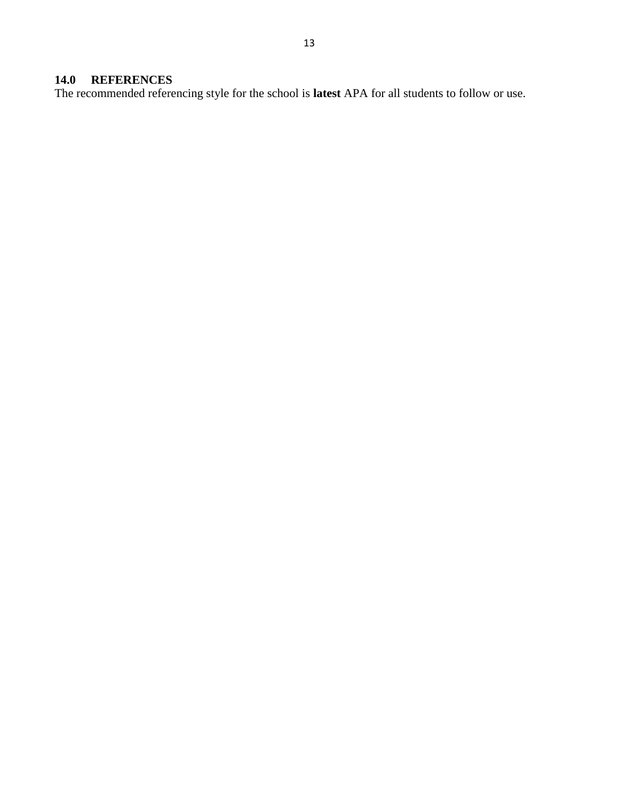# <span id="page-12-0"></span>**14.0 REFERENCES**

The recommended referencing style for the school is **latest** APA for all students to follow or use.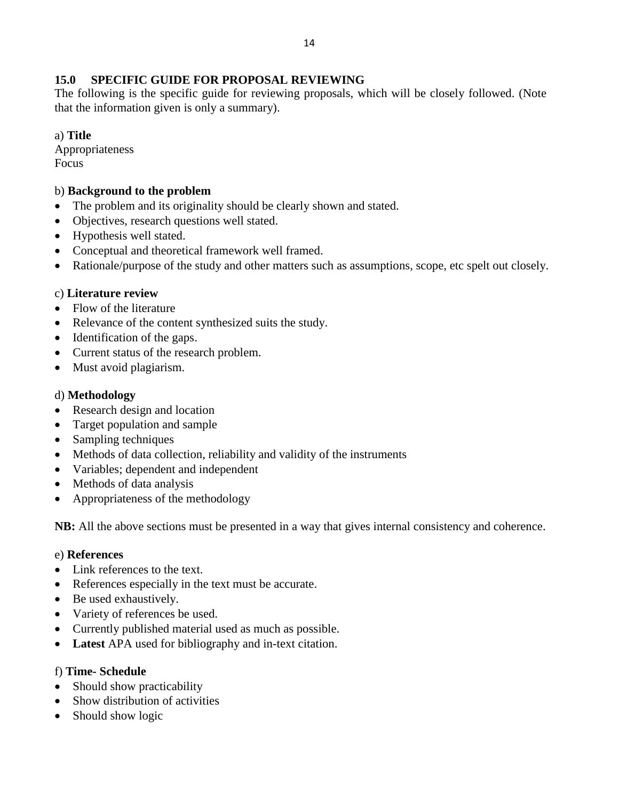### <span id="page-13-0"></span>**15.0 SPECIFIC GUIDE FOR PROPOSAL REVIEWING**

The following is the specific guide for reviewing proposals, which will be closely followed. (Note that the information given is only a summary).

a) **Title** 

Appropriateness Focus

#### b) **Background to the problem**

- The problem and its originality should be clearly shown and stated.
- Objectives, research questions well stated.
- Hypothesis well stated.
- Conceptual and theoretical framework well framed.
- Rationale/purpose of the study and other matters such as assumptions, scope, etc spelt out closely.

#### c) **Literature review**

- Flow of the literature
- Relevance of the content synthesized suits the study.
- Identification of the gaps.
- Current status of the research problem.
- Must avoid plagiarism.

### d) **Methodology**

- Research design and location
- Target population and sample
- Sampling techniques
- Methods of data collection, reliability and validity of the instruments
- Variables; dependent and independent
- Methods of data analysis
- Appropriateness of the methodology

**NB:** All the above sections must be presented in a way that gives internal consistency and coherence.

#### e) **References**

- Link references to the text.
- References especially in the text must be accurate.
- Be used exhaustively.
- Variety of references be used.
- Currently published material used as much as possible.
- **Latest** APA used for bibliography and in-text citation.

#### f) **Time- Schedule**

- Should show practicability
- Show distribution of activities
- Should show logic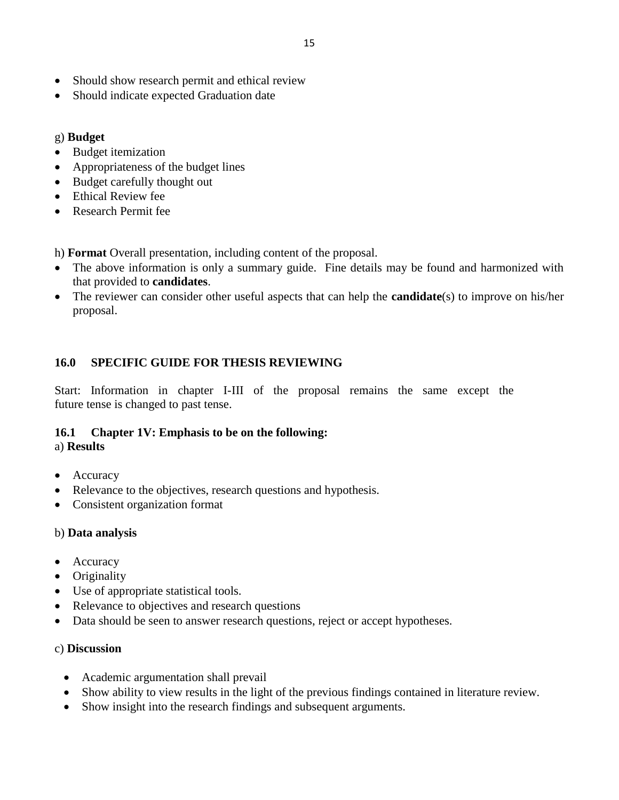- Should show research permit and ethical review
- Should indicate expected Graduation date

## g) **Budget**

- Budget itemization
- Appropriateness of the budget lines
- Budget carefully thought out
- Ethical Review fee
- Research Permit fee

h) **Format** Overall presentation, including content of the proposal.

- The above information is only a summary guide. Fine details may be found and harmonized with that provided to **candidates**.
- The reviewer can consider other useful aspects that can help the **candidate**(s) to improve on his/her proposal.

# <span id="page-14-0"></span>**16.0 SPECIFIC GUIDE FOR THESIS REVIEWING**

Start: Information in chapter I-III of the proposal remains the same except the future tense is changed to past tense.

# **16.1 Chapter 1V: Emphasis to be on the following:**

#### a) **Results**

- Accuracy
- Relevance to the objectives, research questions and hypothesis.
- Consistent organization format

## b) **Data analysis**

- Accuracy
- Originality
- Use of appropriate statistical tools.
- Relevance to objectives and research questions
- Data should be seen to answer research questions, reject or accept hypotheses.

## c) **Discussion**

- Academic argumentation shall prevail
- Show ability to view results in the light of the previous findings contained in literature review.
- Show insight into the research findings and subsequent arguments.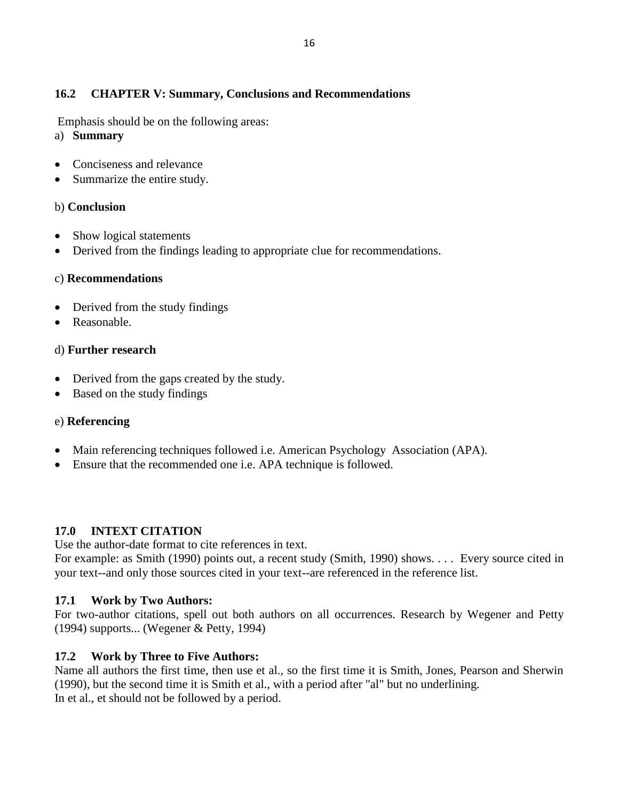# **16.2 CHAPTER V: Summary, Conclusions and Recommendations**

Emphasis should be on the following areas:

- a) **Summary**
- Conciseness and relevance
- Summarize the entire study.

## b) **Conclusion**

- Show logical statements
- Derived from the findings leading to appropriate clue for recommendations.

## c) **Recommendations**

- Derived from the study findings
- Reasonable.

## d) **Further research**

- Derived from the gaps created by the study.
- Based on the study findings

## e) **Referencing**

- Main referencing techniques followed i.e. American Psychology Association (APA).
- Ensure that the recommended one i.e. APA technique is followed.

## <span id="page-15-0"></span>**17.0 INTEXT CITATION**

Use the author-date format to cite references in text.

For example: as Smith (1990) points out, a recent study (Smith, 1990) shows. . . . Every source cited in your text--and only those sources cited in your text--are referenced in the reference list.

## **17.1 Work by Two Authors:**

For two-author citations, spell out both authors on all occurrences. Research by Wegener and Petty (1994) supports... (Wegener & Petty, 1994)

# **17.2 Work by Three to Five Authors:**

Name all authors the first time, then use et al., so the first time it is Smith, Jones, Pearson and Sherwin (1990), but the second time it is Smith et al., with a period after "al" but no underlining. In et al., et should not be followed by a period.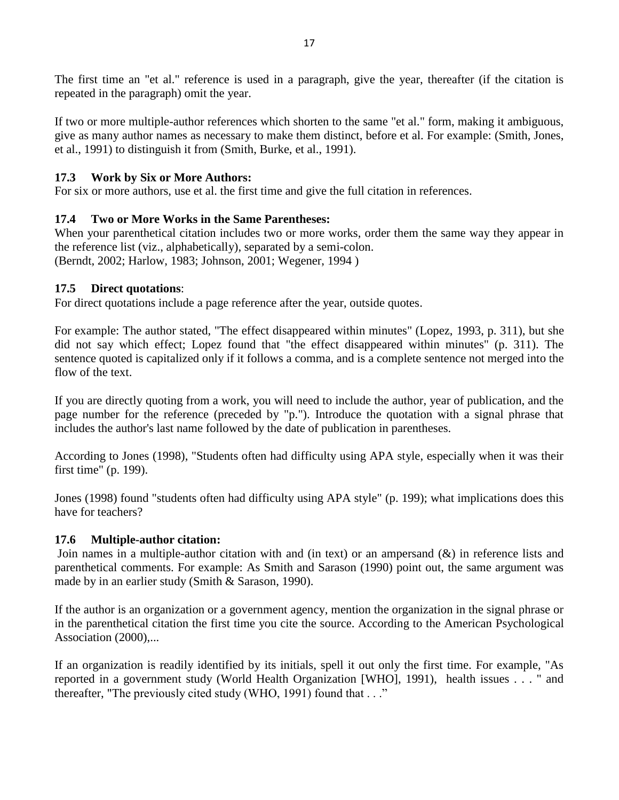The first time an "et al." reference is used in a paragraph, give the year, thereafter (if the citation is repeated in the paragraph) omit the year.

If two or more multiple-author references which shorten to the same "et al." form, making it ambiguous, give as many author names as necessary to make them distinct, before et al. For example: (Smith, Jones, et al., 1991) to distinguish it from (Smith, Burke, et al., 1991).

## **17.3 Work by Six or More Authors:**

For six or more authors, use et al. the first time and give the full citation in references.

## **17.4 Two or More Works in the Same Parentheses:**

When your parenthetical citation includes two or more works, order them the same way they appear in the reference list (viz., alphabetically), separated by a semi-colon. (Berndt, 2002; Harlow, 1983; Johnson, 2001; Wegener, 1994 )

## **17.5 Direct quotations**:

For direct quotations include a page reference after the year, outside quotes.

For example: The author stated, "The effect disappeared within minutes" (Lopez, 1993, p. 311), but she did not say which effect; Lopez found that "the effect disappeared within minutes" (p. 311). The sentence quoted is capitalized only if it follows a comma, and is a complete sentence not merged into the flow of the text.

If you are directly quoting from a work, you will need to include the author, year of publication, and the page number for the reference (preceded by "p."). Introduce the quotation with a signal phrase that includes the author's last name followed by the date of publication in parentheses.

According to Jones (1998), "Students often had difficulty using APA style, especially when it was their first time" (p. 199).

Jones (1998) found "students often had difficulty using APA style" (p. 199); what implications does this have for teachers?

## **17.6 Multiple-author citation:**

Join names in a multiple-author citation with and (in text) or an ampersand (&) in reference lists and parenthetical comments. For example: As Smith and Sarason (1990) point out, the same argument was made by in an earlier study (Smith & Sarason, 1990).

If the author is an organization or a government agency, mention the organization in the signal phrase or in the parenthetical citation the first time you cite the source. According to the American Psychological Association (2000),...

If an organization is readily identified by its initials, spell it out only the first time. For example, "As reported in a government study (World Health Organization [WHO], 1991), health issues . . . " and thereafter, "The previously cited study (WHO, 1991) found that . . ."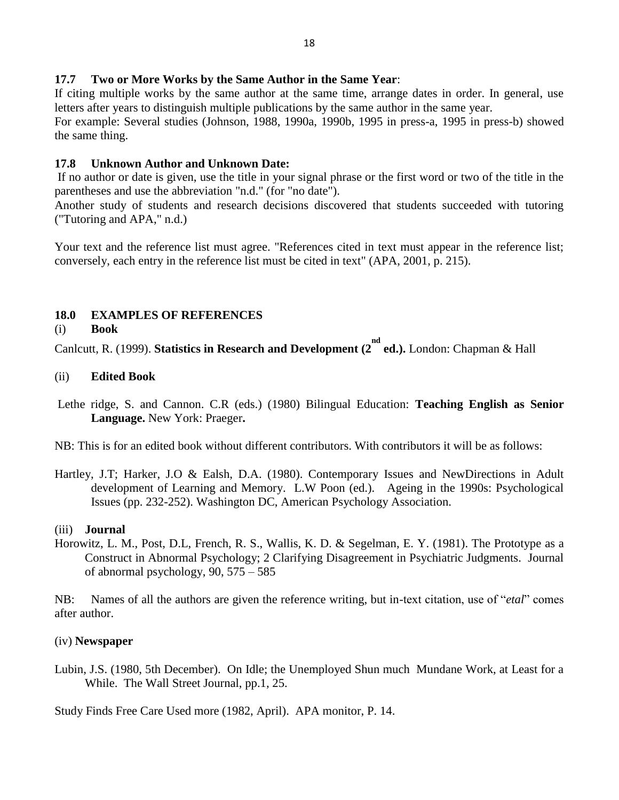### **17.7 Two or More Works by the Same Author in the Same Year**:

If citing multiple works by the same author at the same time, arrange dates in order. In general, use letters after years to distinguish multiple publications by the same author in the same year.

For example: Several studies (Johnson, 1988, 1990a, 1990b, 1995 in press-a, 1995 in press-b) showed the same thing.

#### **17.8 Unknown Author and Unknown Date:**

If no author or date is given, use the title in your signal phrase or the first word or two of the title in the parentheses and use the abbreviation "n.d." (for "no date").

Another study of students and research decisions discovered that students succeeded with tutoring ("Tutoring and APA," n.d.)

Your text and the reference list must agree. "References cited in text must appear in the reference list; conversely, each entry in the reference list must be cited in text" (APA, 2001, p. 215).

### <span id="page-17-0"></span>**18.0 EXAMPLES OF REFERENCES**

#### (i) **Book**

Canlcutt, R. (1999). Statistics in Research and Development (2<sup>nd</sup> ed.). London: Chapman & Hall

#### (ii) **Edited Book**

- Lethe ridge, S. and Cannon. C.R (eds.) (1980) Bilingual Education: **Teaching English as Senior Language.** New York: Praeger**.**
- NB: This is for an edited book without different contributors. With contributors it will be as follows:
- Hartley, J.T; Harker, J.O & Ealsh, D.A. (1980). Contemporary Issues and NewDirections in Adult development of Learning and Memory. L.W Poon (ed.). Ageing in the 1990s: Psychological Issues (pp. 232-252). Washington DC, American Psychology Association.

#### (iii) **Journal**

Horowitz, L. M., Post, D.L, French, R. S., Wallis, K. D. & Segelman, E. Y. (1981). The Prototype as a Construct in Abnormal Psychology; 2 Clarifying Disagreement in Psychiatric Judgments. Journal of abnormal psychology, 90, 575 – 585

NB: Names of all the authors are given the reference writing, but in-text citation, use of "*etal*" comes after author.

#### (iv) **Newspaper**

Lubin, J.S. (1980, 5th December). On Idle; the Unemployed Shun much Mundane Work, at Least for a While. The Wall Street Journal, pp.1, 25.

Study Finds Free Care Used more (1982, April). APA monitor, P. 14.